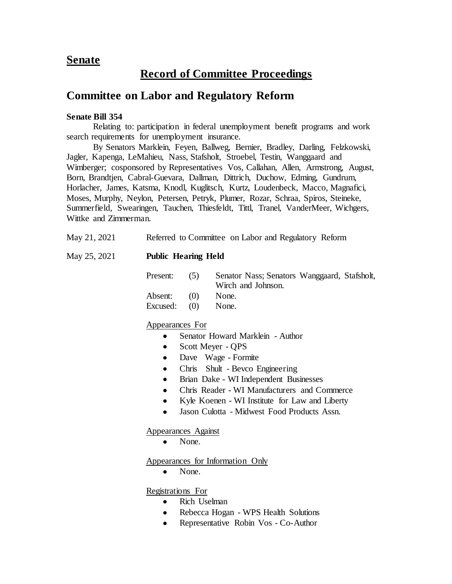## **Senate**

# **Record of Committee Proceedings**

## **Committee on Labor and Regulatory Reform**

### **Senate Bill 354**

Relating to: participation in federal unemployment benefit programs and work search requirements for unemployment insurance.

By Senators Marklein, Feyen, Ballweg, Bernier, Bradley, Darling, Felzkowski, Jagler, Kapenga, LeMahieu, Nass, Stafsholt, Stroebel, Testin, Wanggaard and Wimberger; cosponsored by Representatives Vos, Callahan, Allen, Armstrong, August, Born, Brandtjen, Cabral-Guevara, Dallman, Dittrich, Duchow, Edming, Gundrum, Horlacher, James, Katsma, Knodl, Kuglitsch, Kurtz, Loudenbeck, Macco, Magnafici, Moses, Murphy, Neylon, Petersen, Petryk, Plumer, Rozar, Schraa, Spiros, Steineke, Summerfield, Swearingen, Tauchen, Thiesfeldt, Tittl, Tranel, VanderMeer, Wichgers, Wittke and Zimmerman.

| May 21, 2021 |  | Referred to Committee on Labor and Regulatory Reform |  |
|--------------|--|------------------------------------------------------|--|
|              |  |                                                      |  |

## May 25, 2021 **Public Hearing Held**

| Present:                        | (5) | Senator Nass; Senators Wanggaard, Stafsholt,<br>Wirch and Johnson. |  |
|---------------------------------|-----|--------------------------------------------------------------------|--|
| Absent: $(0)$<br>Excused: $(0)$ |     | None.<br>None.                                                     |  |

## Appearances For

- Senator Howard Marklein Author
- Scott Meyer QPS
- Dave Wage Formite
- Chris Shult Bevco Engineering
- Brian Dake WI Independent Businesses
- Chris Reader WI Manufacturers and Commerce
- Kyle Koenen WI Institute for Law and Liberty
- Jason Culotta Midwest Food Products Assn.

Appearances Against

• None.

Appearances for Information Only

None.

Registrations For

- Rich Uselman
- Rebecca Hogan WPS Health Solutions
- Representative Robin Vos Co-Author